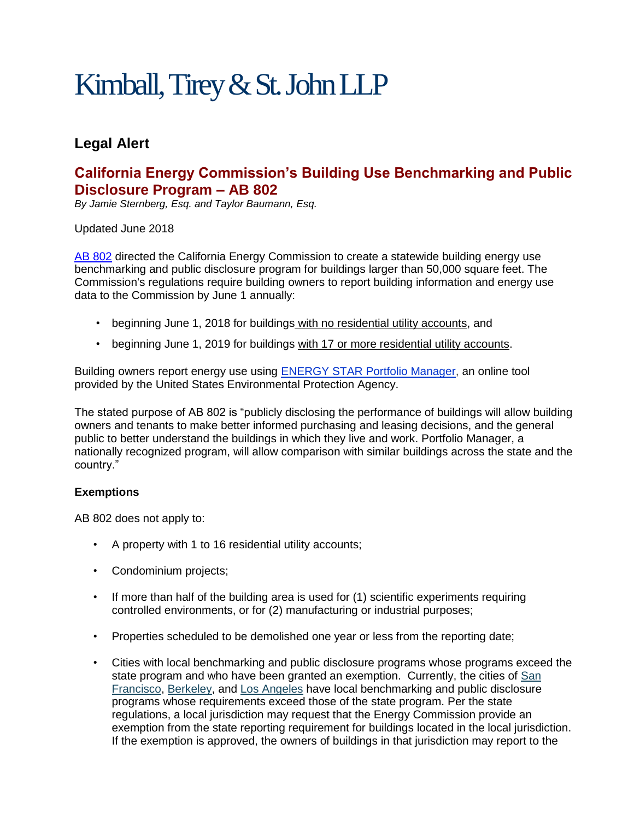# Kimball, Tirey & St. John LLP

## **Legal Alert**

## **California Energy Commission's Building Use Benchmarking and Public Disclosure Program – AB 802**

*By Jamie Sternberg, Esq. and Taylor Baumann, Esq.*

#### Updated June 2018

[AB 802](https://leginfo.legislature.ca.gov/faces/billNavClient.xhtml?bill_id=201520160AB802) directed the California Energy Commission to create a statewide building energy use benchmarking and public disclosure program for buildings larger than 50,000 square feet. The Commission's regulations require building owners to report building information and energy use data to the Commission by June 1 annually:

- beginning June 1, 2018 for buildings with no residential utility accounts, and
- beginning June 1, 2019 for buildings with 17 or more residential utility accounts.

Building owners report energy use using [ENERGY STAR Portfolio Manager,](https://www.energystar.gov/buildings/facility-owners-and-managers/existing-buildings/use-portfolio-manager) an online tool provided by the United States Environmental Protection Agency.

The stated purpose of AB 802 is "publicly disclosing the performance of buildings will allow building owners and tenants to make better informed purchasing and leasing decisions, and the general public to better understand the buildings in which they live and work. Portfolio Manager, a nationally recognized program, will allow comparison with similar buildings across the state and the country."

### **Exemptions**

AB 802 does not apply to:

- A property with 1 to 16 residential utility accounts;
- Condominium projects;
- If more than half of the building area is used for (1) scientific experiments requiring controlled environments, or for (2) manufacturing or industrial purposes;
- Properties scheduled to be demolished one year or less from the reporting date;
- Cities with local benchmarking and public disclosure programs whose programs exceed the state program and who have been granted an exemption. Currently, the cities of [San](https://sfenvironment.org/energy/energy-efficiency/commercial-and-multifamily-properties/existing-commercial-buildings-energy-performance-ordinance/benchmarking)  [Francisco,](https://sfenvironment.org/energy/energy-efficiency/commercial-and-multifamily-properties/existing-commercial-buildings-energy-performance-ordinance/benchmarking) [Berkeley,](https://www.cityofberkeley.info/BESO/) and [Los Angeles](http://www.betterbuildingsla.com/) have local benchmarking and public disclosure programs whose requirements exceed those of the state program. Per the state regulations, a local jurisdiction may request that the Energy Commission provide an exemption from the state reporting requirement for buildings located in the local jurisdiction. If the exemption is approved, the owners of buildings in that jurisdiction may report to the